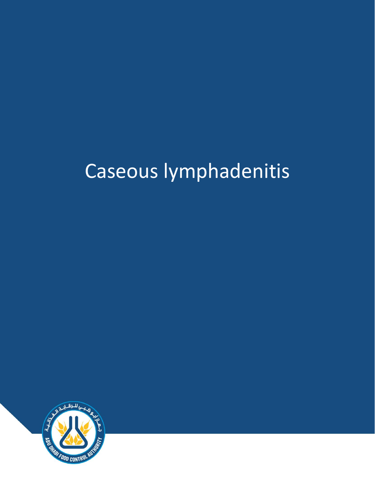# Caseous lymphadenitis

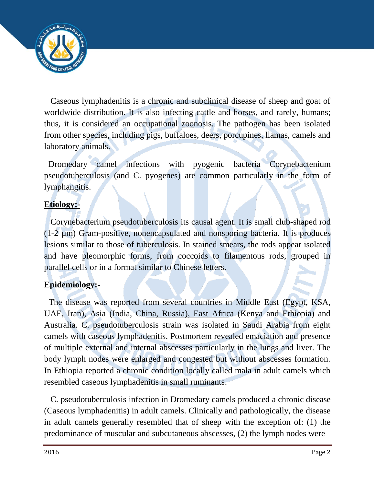

 Caseous lymphadenitis is a chronic and subclinical disease of sheep and goat of worldwide distribution. It is also infecting cattle and horses, and rarely, humans; thus, it is considered an occupational zoonosis. The pathogen has been isolated from other species, including pigs, buffaloes, deers, porcupines, llamas, camels and laboratory animals.

Dromedary camel infections with pyogenic bacteria Corynebactenium pseudotuberculosis (and C. pyogenes) are common particularly in the form of lymphangitis.

## **Etiology:-**

 Corynebacterium pseudotuberculosis its causal agent. It is small club-shaped rod (1-2 µm) Gram-positive, nonencapsulated and nonsporing bacteria. It is produces lesions similar to those of tuberculosis. In stained smears, the rods appear isolated and have pleomorphic forms, from coccoids to filamentous rods, grouped in parallel cells or in a format similar to Chinese letters.

## **Epidemiology:-**

 The disease was reported from several countries in Middle East (Egypt, KSA, UAE, Iran), Asia (India, China, Russia), East Africa (Kenya and Ethiopia) and Australia. C. pseudotuberculosis strain was isolated in Saudi Arabia from eight camels with caseous lymphadenitis. Postmortem revealed emaciation and presence of multiple external and internal abscesses particularly in the lungs and liver. The body lymph nodes were enlarged and congested but without abscesses formation. In Ethiopia reported a chronic condition locally called mala in adult camels which resembled caseous lymphadenitis in small ruminants.

C. pseudotuberculosis infection in Dromedary camels produced a chronic disease (Caseous lymphadenitis) in adult camels. Clinically and pathologically, the disease in adult camels generally resembled that of sheep with the exception of: (1) the predominance of muscular and subcutaneous abscesses, (2) the lymph nodes were